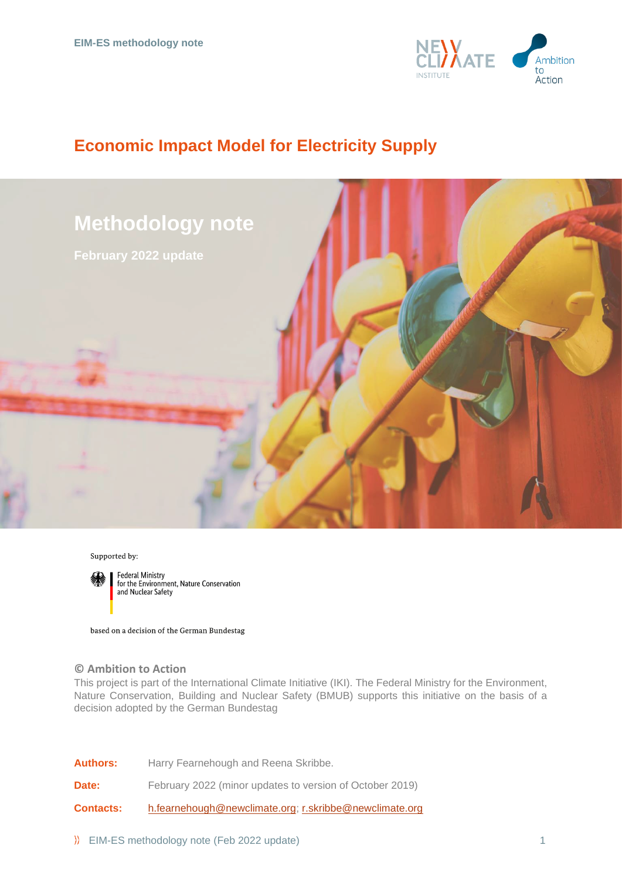

# **Economic Impact Model for Electricity Supply**



Supported by:



**Federal Ministry** for the Environment, Nature Conservation and Nuclear Safety

based on a decision of the German Bundestag

## **© Ambition to Action**

This project is part of the International Climate Initiative (IKI). The Federal Ministry for the Environment, Nature Conservation, Building and Nuclear Safety (BMUB) supports this initiative on the basis of a decision adopted by the German Bundestag

**Authors:** Harry Fearnehough and Reena Skribbe.

**Date:** February 2022 (minor updates to version of October 2019)

**Contacts:** [h.fearnehough@newclimate.org;](mailto:h.fearnehough@newclimate.org) [r.skribbe@newclimate.org](mailto:r.skribbe@newclimate.org)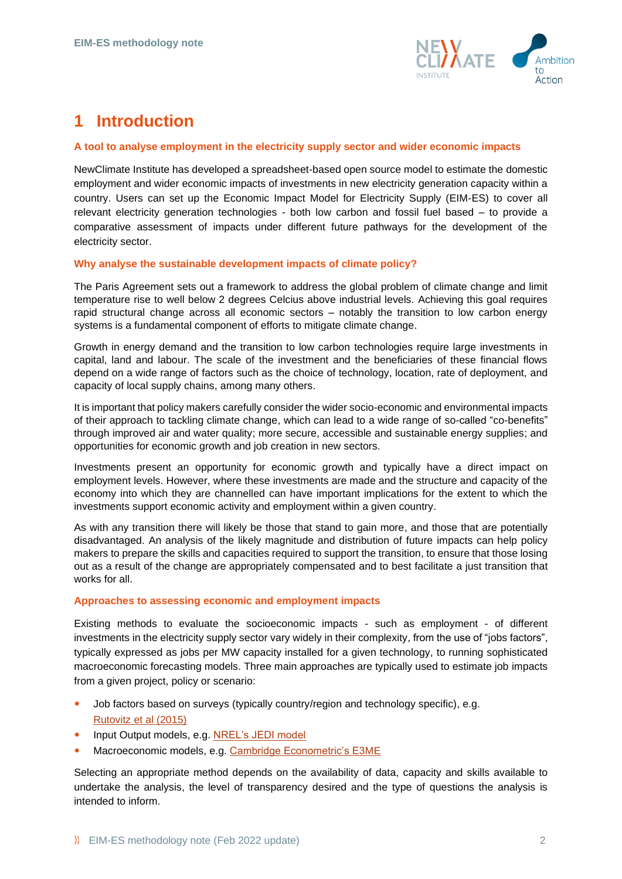

# **1 Introduction**

### **A tool to analyse employment in the electricity supply sector and wider economic impacts**

NewClimate Institute has developed a spreadsheet-based open source model to estimate the domestic employment and wider economic impacts of investments in new electricity generation capacity within a country. Users can set up the Economic Impact Model for Electricity Supply (EIM-ES) to cover all relevant electricity generation technologies - both low carbon and fossil fuel based – to provide a comparative assessment of impacts under different future pathways for the development of the electricity sector.

### **Why analyse the sustainable development impacts of climate policy?**

The Paris Agreement sets out a framework to address the global problem of climate change and limit temperature rise to well below 2 degrees Celcius above industrial levels. Achieving this goal requires rapid structural change across all economic sectors – notably the transition to low carbon energy systems is a fundamental component of efforts to mitigate climate change.

Growth in energy demand and the transition to low carbon technologies require large investments in capital, land and labour. The scale of the investment and the beneficiaries of these financial flows depend on a wide range of factors such as the choice of technology, location, rate of deployment, and capacity of local supply chains, among many others.

It is important that policy makers carefully consider the wider socio-economic and environmental impacts of their approach to tackling climate change, which can lead to a wide range of so-called "co-benefits" through improved air and water quality; more secure, accessible and sustainable energy supplies; and opportunities for economic growth and job creation in new sectors.

Investments present an opportunity for economic growth and typically have a direct impact on employment levels. However, where these investments are made and the structure and capacity of the economy into which they are channelled can have important implications for the extent to which the investments support economic activity and employment within a given country.

As with any transition there will likely be those that stand to gain more, and those that are potentially disadvantaged. An analysis of the likely magnitude and distribution of future impacts can help policy makers to prepare the skills and capacities required to support the transition, to ensure that those losing out as a result of the change are appropriately compensated and to best facilitate a just transition that works for all.

## **Approaches to assessing economic and employment impacts**

Existing methods to evaluate the socioeconomic impacts - such as employment - of different investments in the electricity supply sector vary widely in their complexity, from the use of "jobs factors", typically expressed as jobs per MW capacity installed for a given technology, to running sophisticated macroeconomic forecasting models. Three main approaches are typically used to estimate job impacts from a given project, policy or scenario:

- Job factors based on surveys (typically country/region and technology specific), e.g. [Rutovitz et](https://opus.lib.uts.edu.au/bitstream/10453/43718/1/Rutovitzetal2015Calculatingglobalenergysectorjobsmethodology.pdf) al (2015)
- Input Output models, e.g. [NREL's JEDI model](https://www.nrel.gov/analysis/jedi/)
- Macroeconomic models, e.g. [Cambridge Econometric's E3ME](https://www.camecon.com/how/e3me-model/)

Selecting an appropriate method depends on the availability of data, capacity and skills available to undertake the analysis, the level of transparency desired and the type of questions the analysis is intended to inform.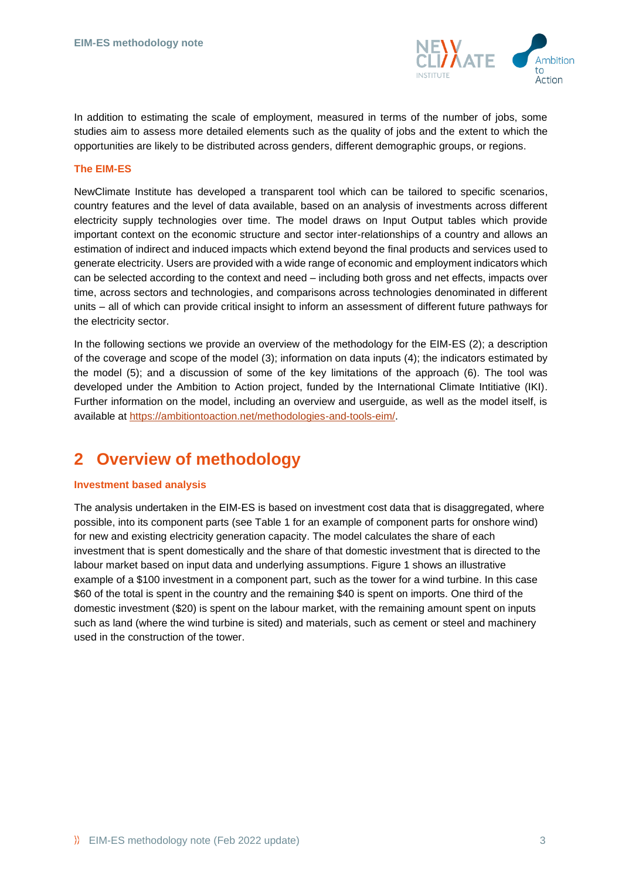

In addition to estimating the scale of employment, measured in terms of the number of jobs, some studies aim to assess more detailed elements such as the quality of jobs and the extent to which the opportunities are likely to be distributed across genders, different demographic groups, or regions.

### **The EIM-ES**

NewClimate Institute has developed a transparent tool which can be tailored to specific scenarios, country features and the level of data available, based on an analysis of investments across different electricity supply technologies over time. The model draws on Input Output tables which provide important context on the economic structure and sector inter-relationships of a country and allows an estimation of indirect and induced impacts which extend beyond the final products and services used to generate electricity. Users are provided with a wide range of economic and employment indicators which can be selected according to the context and need – including both gross and net effects, impacts over time, across sectors and technologies, and comparisons across technologies denominated in different units – all of which can provide critical insight to inform an assessment of different future pathways for the electricity sector.

In the following sections we provide an overview of the methodology for the EIM-ES [\(2\)](#page-2-0); a description of the coverage and scope of the model [\(3\)](#page-4-0); information on data inputs [\(4\)](#page-6-0); the indicators estimated by the model [\(5\)](#page-8-0); and a discussion of some of the key limitations of the approach [\(6\)](#page-9-0). The tool was developed under the Ambition to Action project, funded by the International Climate Intitiative (IKI). Further information on the model, including an overview and userguide, as well as the model itself, is available at [https://ambitiontoaction.net/methodologies-and-tools-eim/.](https://ambitiontoaction.net/methodologies-and-tools-eim/)

## <span id="page-2-0"></span>**2 Overview of methodology**

### **Investment based analysis**

The analysis undertaken in the EIM-ES is based on investment cost data that is disaggregated, where possible, into its component parts (see [Table 1](#page-7-0) for an example of component parts for onshore wind) for new and existing electricity generation capacity. The model calculates the share of each investment that is spent domestically and the share of that domestic investment that is directed to the labour market based on input data and underlying assumptions. [Figure 1](#page-3-0) shows an illustrative example of a \$100 investment in a component part, such as the tower for a wind turbine. In this case \$60 of the total is spent in the country and the remaining \$40 is spent on imports. One third of the domestic investment (\$20) is spent on the labour market, with the remaining amount spent on inputs such as land (where the wind turbine is sited) and materials, such as cement or steel and machinery used in the construction of the tower.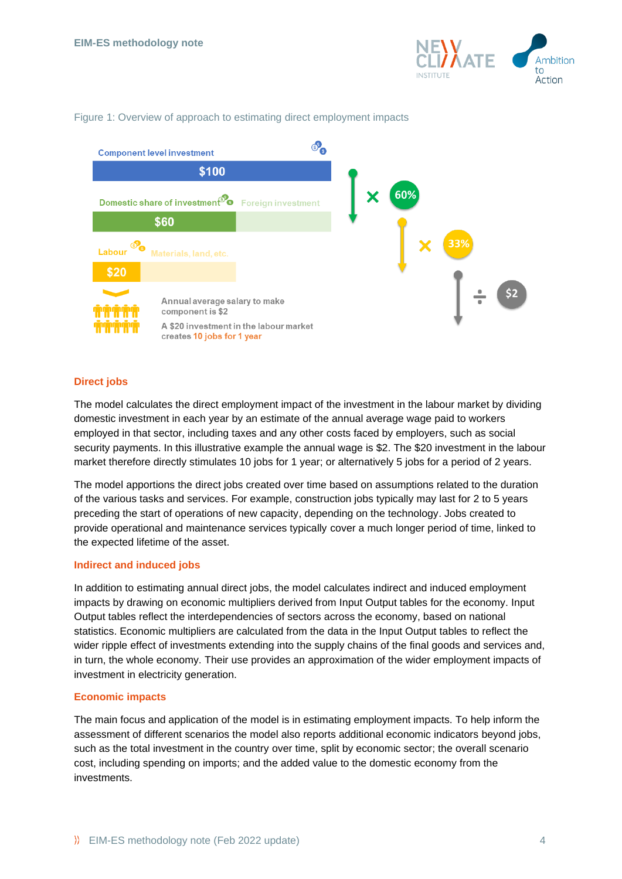

### <span id="page-3-0"></span>Figure 1: Overview of approach to estimating direct employment impacts



### **Direct jobs**

The model calculates the direct employment impact of the investment in the labour market by dividing domestic investment in each year by an estimate of the annual average wage paid to workers employed in that sector, including taxes and any other costs faced by employers, such as social security payments. In this illustrative example the annual wage is \$2. The \$20 investment in the labour market therefore directly stimulates 10 jobs for 1 year; or alternatively 5 jobs for a period of 2 years.

The model apportions the direct jobs created over time based on assumptions related to the duration of the various tasks and services. For example, construction jobs typically may last for 2 to 5 years preceding the start of operations of new capacity, depending on the technology. Jobs created to provide operational and maintenance services typically cover a much longer period of time, linked to the expected lifetime of the asset.

### **Indirect and induced jobs**

In addition to estimating annual direct jobs, the model calculates indirect and induced employment impacts by drawing on economic multipliers derived from Input Output tables for the economy. Input Output tables reflect the interdependencies of sectors across the economy, based on national statistics. Economic multipliers are calculated from the data in the Input Output tables to reflect the wider ripple effect of investments extending into the supply chains of the final goods and services and, in turn, the whole economy. Their use provides an approximation of the wider employment impacts of investment in electricity generation.

### **Economic impacts**

The main focus and application of the model is in estimating employment impacts. To help inform the assessment of different scenarios the model also reports additional economic indicators beyond jobs, such as the total investment in the country over time, split by economic sector; the overall scenario cost, including spending on imports; and the added value to the domestic economy from the investments.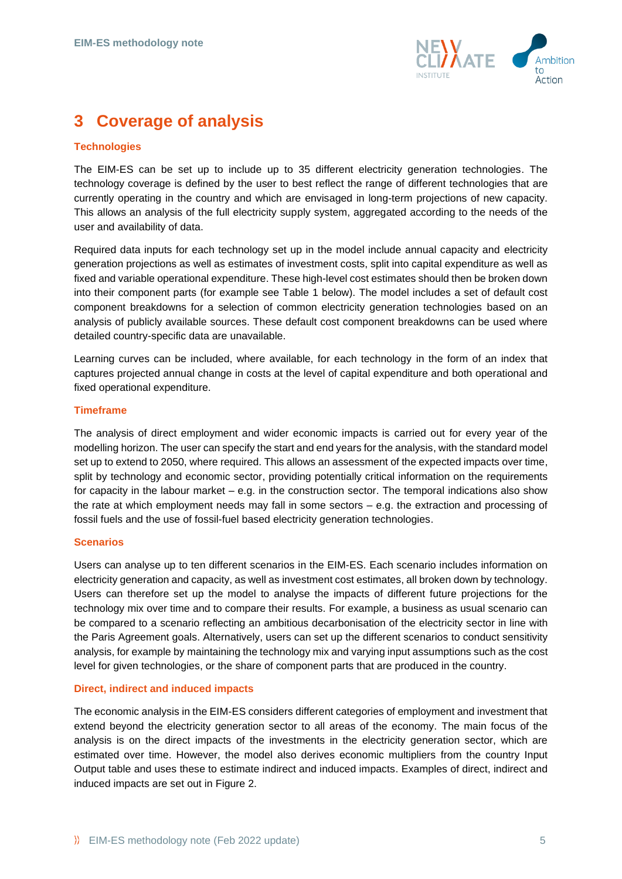

# <span id="page-4-0"></span>**3 Coverage of analysis**

## **Technologies**

The EIM-ES can be set up to include up to 35 different electricity generation technologies. The technology coverage is defined by the user to best reflect the range of different technologies that are currently operating in the country and which are envisaged in long-term projections of new capacity. This allows an analysis of the full electricity supply system, aggregated according to the needs of the user and availability of data.

Required data inputs for each technology set up in the model include annual capacity and electricity generation projections as well as estimates of investment costs, split into capital expenditure as well as fixed and variable operational expenditure. These high-level cost estimates should then be broken down into their component parts (for example see [Table 1](#page-7-0) below). The model includes a set of default cost component breakdowns for a selection of common electricity generation technologies based on an analysis of publicly available sources. These default cost component breakdowns can be used where detailed country-specific data are unavailable.

Learning curves can be included, where available, for each technology in the form of an index that captures projected annual change in costs at the level of capital expenditure and both operational and fixed operational expenditure.

### **Timeframe**

The analysis of direct employment and wider economic impacts is carried out for every year of the modelling horizon. The user can specify the start and end years for the analysis, with the standard model set up to extend to 2050, where required. This allows an assessment of the expected impacts over time, split by technology and economic sector, providing potentially critical information on the requirements for capacity in the labour market – e.g. in the construction sector. The temporal indications also show the rate at which employment needs may fall in some sectors – e.g. the extraction and processing of fossil fuels and the use of fossil-fuel based electricity generation technologies.

### **Scenarios**

Users can analyse up to ten different scenarios in the EIM-ES. Each scenario includes information on electricity generation and capacity, as well as investment cost estimates, all broken down by technology. Users can therefore set up the model to analyse the impacts of different future projections for the technology mix over time and to compare their results. For example, a business as usual scenario can be compared to a scenario reflecting an ambitious decarbonisation of the electricity sector in line with the Paris Agreement goals. Alternatively, users can set up the different scenarios to conduct sensitivity analysis, for example by maintaining the technology mix and varying input assumptions such as the cost level for given technologies, or the share of component parts that are produced in the country.

### **Direct, indirect and induced impacts**

The economic analysis in the EIM-ES considers different categories of employment and investment that extend beyond the electricity generation sector to all areas of the economy. The main focus of the analysis is on the direct impacts of the investments in the electricity generation sector, which are estimated over time. However, the model also derives economic multipliers from the country Input Output table and uses these to estimate indirect and induced impacts. Examples of direct, indirect and induced impacts are set out in [Figure 2.](#page-5-0)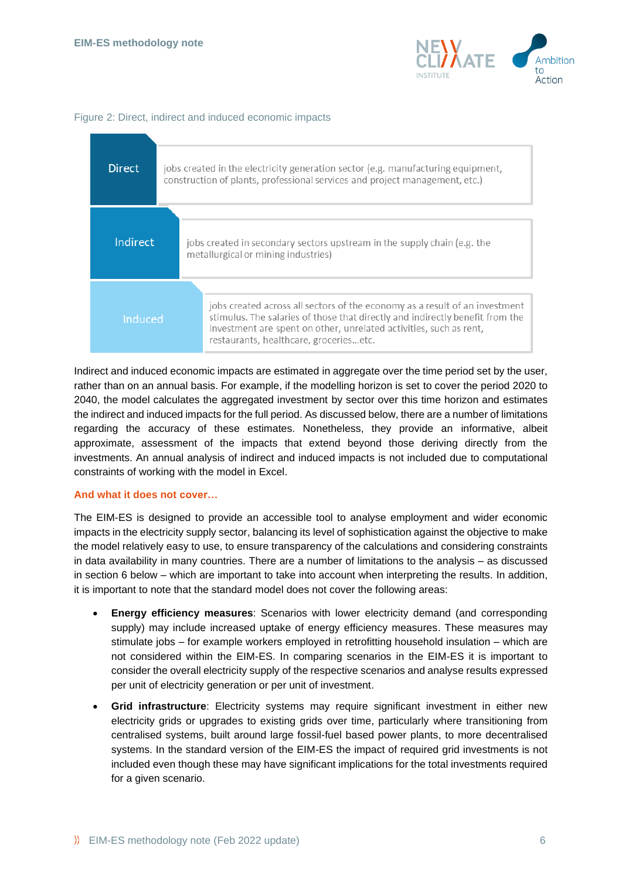

### <span id="page-5-0"></span>Figure 2: Direct, indirect and induced economic impacts



Indirect and induced economic impacts are estimated in aggregate over the time period set by the user, rather than on an annual basis. For example, if the modelling horizon is set to cover the period 2020 to 2040, the model calculates the aggregated investment by sector over this time horizon and estimates the indirect and induced impacts for the full period. As discussed below, there are a number of limitations regarding the accuracy of these estimates. Nonetheless, they provide an informative, albeit approximate, assessment of the impacts that extend beyond those deriving directly from the investments. An annual analysis of indirect and induced impacts is not included due to computational constraints of working with the model in Excel.

## **And what it does not cover…**

The EIM-ES is designed to provide an accessible tool to analyse employment and wider economic impacts in the electricity supply sector, balancing its level of sophistication against the objective to make the model relatively easy to use, to ensure transparency of the calculations and considering constraints in data availability in many countries. There are a number of limitations to the analysis – as discussed in section [6](#page-9-0) below – which are important to take into account when interpreting the results. In addition, it is important to note that the standard model does not cover the following areas:

- **Energy efficiency measures**: Scenarios with lower electricity demand (and corresponding supply) may include increased uptake of energy efficiency measures. These measures may stimulate jobs – for example workers employed in retrofitting household insulation – which are not considered within the EIM-ES. In comparing scenarios in the EIM-ES it is important to consider the overall electricity supply of the respective scenarios and analyse results expressed per unit of electricity generation or per unit of investment.
- **Grid infrastructure**: Electricity systems may require significant investment in either new electricity grids or upgrades to existing grids over time, particularly where transitioning from centralised systems, built around large fossil-fuel based power plants, to more decentralised systems. In the standard version of the EIM-ES the impact of required grid investments is not included even though these may have significant implications for the total investments required for a given scenario.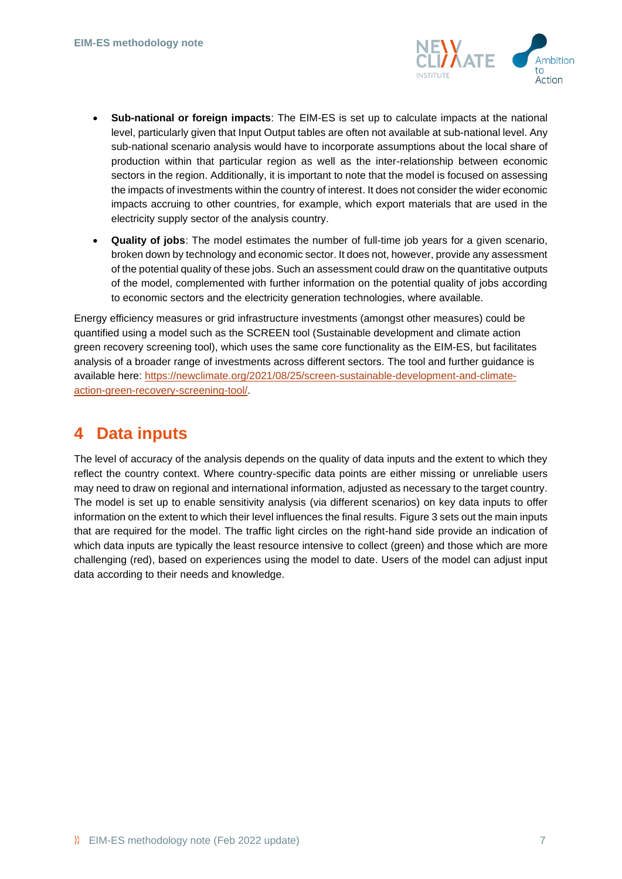

- **Sub-national or foreign impacts**: The EIM-ES is set up to calculate impacts at the national level, particularly given that Input Output tables are often not available at sub-national level. Any sub-national scenario analysis would have to incorporate assumptions about the local share of production within that particular region as well as the inter-relationship between economic sectors in the region. Additionally, it is important to note that the model is focused on assessing the impacts of investments within the country of interest. It does not consider the wider economic impacts accruing to other countries, for example, which export materials that are used in the electricity supply sector of the analysis country.
- **Quality of jobs**: The model estimates the number of full-time job years for a given scenario, broken down by technology and economic sector. It does not, however, provide any assessment of the potential quality of these jobs. Such an assessment could draw on the quantitative outputs of the model, complemented with further information on the potential quality of jobs according to economic sectors and the electricity generation technologies, where available.

Energy efficiency measures or grid infrastructure investments (amongst other measures) could be quantified using a model such as the SCREEN tool (Sustainable development and climate action green recovery screening tool), which uses the same core functionality as the EIM-ES, but facilitates analysis of a broader range of investments across different sectors. The tool and further guidance is available here: [https://newclimate.org/2021/08/25/screen-sustainable-development-and-climate](https://newclimate.org/2021/08/25/screen-sustainable-development-and-climate-action-green-recovery-screening-tool/)[action-green-recovery-screening-tool/.](https://newclimate.org/2021/08/25/screen-sustainable-development-and-climate-action-green-recovery-screening-tool/)

## <span id="page-6-0"></span>**4 Data inputs**

The level of accuracy of the analysis depends on the quality of data inputs and the extent to which they reflect the country context. Where country-specific data points are either missing or unreliable users may need to draw on regional and international information, adjusted as necessary to the target country. The model is set up to enable sensitivity analysis (via different scenarios) on key data inputs to offer information on the extent to which their level influences the final results[. Figure 3](#page-7-1) sets out the main inputs that are required for the model. The traffic light circles on the right-hand side provide an indication of which data inputs are typically the least resource intensive to collect (green) and those which are more challenging (red), based on experiences using the model to date. Users of the model can adjust input data according to their needs and knowledge.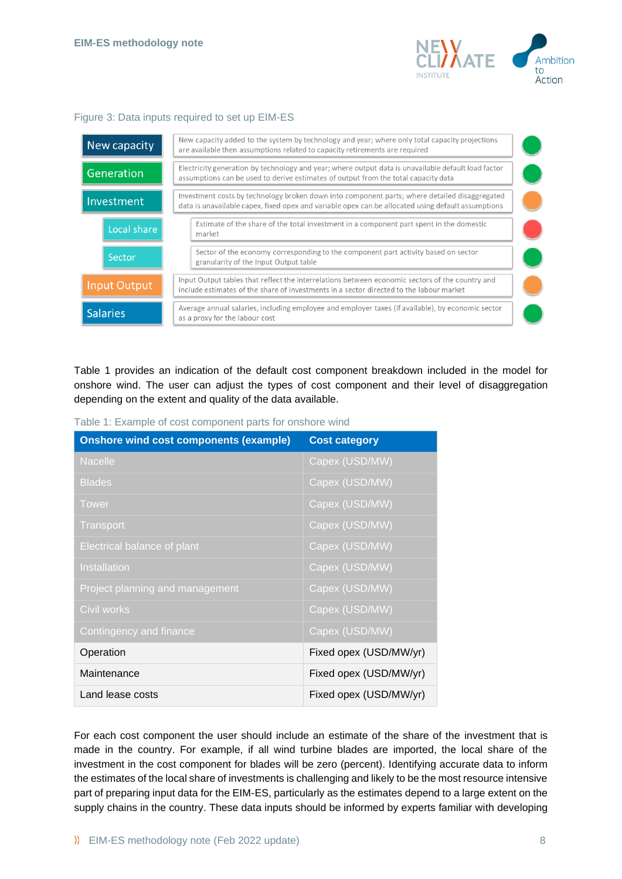

#### <span id="page-7-1"></span>Figure 3: Data inputs required to set up EIM-ES

| New capacity        | New capacity added to the system by technology and year; where only total capacity projections<br>are available then assumptions related to capacity retirements are required                       |  |
|---------------------|-----------------------------------------------------------------------------------------------------------------------------------------------------------------------------------------------------|--|
| Generation          | Electricity generation by technology and year; where output data is unavailable default load factor<br>assumptions can be used to derive estimates of output from the total capacity data           |  |
| Investment          | Investment costs by technology broken down into component parts; where detailed disaggregated<br>data is unavailable capex, fixed opex and variable opex can be allocated using default assumptions |  |
| Local share         | Estimate of the share of the total investment in a component part spent in the domestic<br>market                                                                                                   |  |
| Sector              | Sector of the economy corresponding to the component part activity based on sector<br>granularity of the Input Output table                                                                         |  |
| <b>Input Output</b> | Input Output tables that reflect the interrelations between economic sectors of the country and<br>include estimates of the share of investments in a sector directed to the labour market          |  |
| <b>Salaries</b>     | Average annual salaries, including employee and employer taxes (if available), by economic sector<br>as a proxy for the labour cost                                                                 |  |

[Table 1](#page-7-0) provides an indication of the default cost component breakdown included in the model for onshore wind. The user can adjust the types of cost component and their level of disaggregation depending on the extent and quality of the data available.

| <b>Onshore wind cost components (example)</b> | <b>Cost category</b>   |  |
|-----------------------------------------------|------------------------|--|
| Nacelle                                       | Capex (USD/MW)         |  |
| <b>Blades</b>                                 | Capex (USD/MW)         |  |
| <b>Tower</b>                                  | Capex (USD/MW)         |  |
| <b>Transport</b>                              | Capex (USD/MW)         |  |
| Electrical balance of plant                   | Capex (USD/MW)         |  |
| Installation                                  | Capex (USD/MW)         |  |
| Project planning and management               | Capex (USD/MW)         |  |
| Civil works                                   | Capex (USD/MW)         |  |
| Contingency and finance                       | Capex (USD/MW)         |  |
| Operation                                     | Fixed opex (USD/MW/yr) |  |
| Maintenance                                   | Fixed opex (USD/MW/yr) |  |
| Land lease costs                              | Fixed opex (USD/MW/yr) |  |

<span id="page-7-0"></span>Table 1: Example of cost component parts for onshore wind

For each cost component the user should include an estimate of the share of the investment that is made in the country. For example, if all wind turbine blades are imported, the local share of the investment in the cost component for blades will be zero (percent). Identifying accurate data to inform the estimates of the local share of investments is challenging and likely to be the most resource intensive part of preparing input data for the EIM-ES, particularly as the estimates depend to a large extent on the supply chains in the country. These data inputs should be informed by experts familiar with developing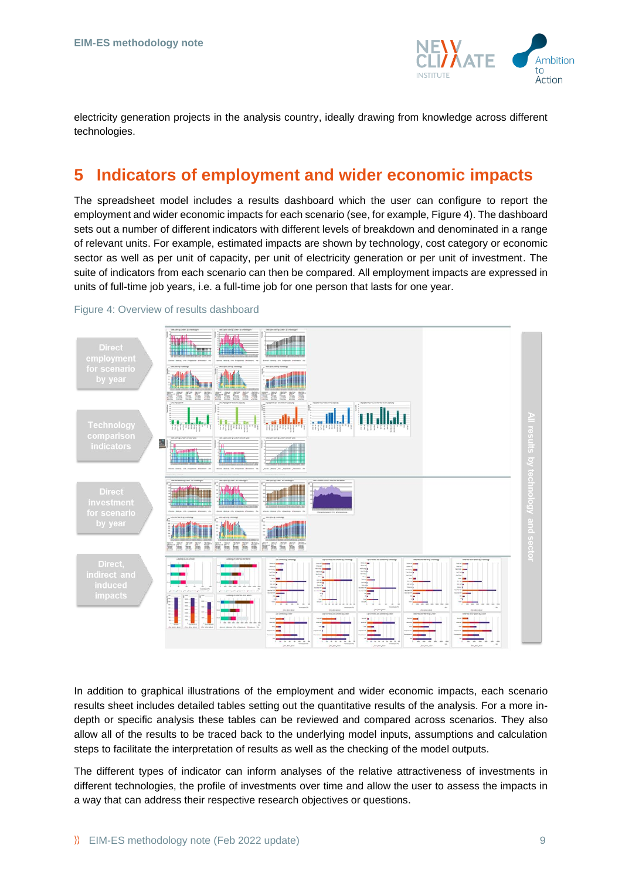

electricity generation projects in the analysis country, ideally drawing from knowledge across different technologies.

## <span id="page-8-0"></span>**5 Indicators of employment and wider economic impacts**

The spreadsheet model includes a results dashboard which the user can configure to report the employment and wider economic impacts for each scenario (see, for example, [Figure 4\)](#page-8-1). The dashboard sets out a number of different indicators with different levels of breakdown and denominated in a range of relevant units. For example, estimated impacts are shown by technology, cost category or economic sector as well as per unit of capacity, per unit of electricity generation or per unit of investment. The suite of indicators from each scenario can then be compared. All employment impacts are expressed in units of full-time job years, i.e. a full-time job for one person that lasts for one year.



<span id="page-8-1"></span>Figure 4: Overview of results dashboard

In addition to graphical illustrations of the employment and wider economic impacts, each scenario results sheet includes detailed tables setting out the quantitative results of the analysis. For a more indepth or specific analysis these tables can be reviewed and compared across scenarios. They also allow all of the results to be traced back to the underlying model inputs, assumptions and calculation steps to facilitate the interpretation of results as well as the checking of the model outputs.

The different types of indicator can inform analyses of the relative attractiveness of investments in different technologies, the profile of investments over time and allow the user to assess the impacts in a way that can address their respective research objectives or questions.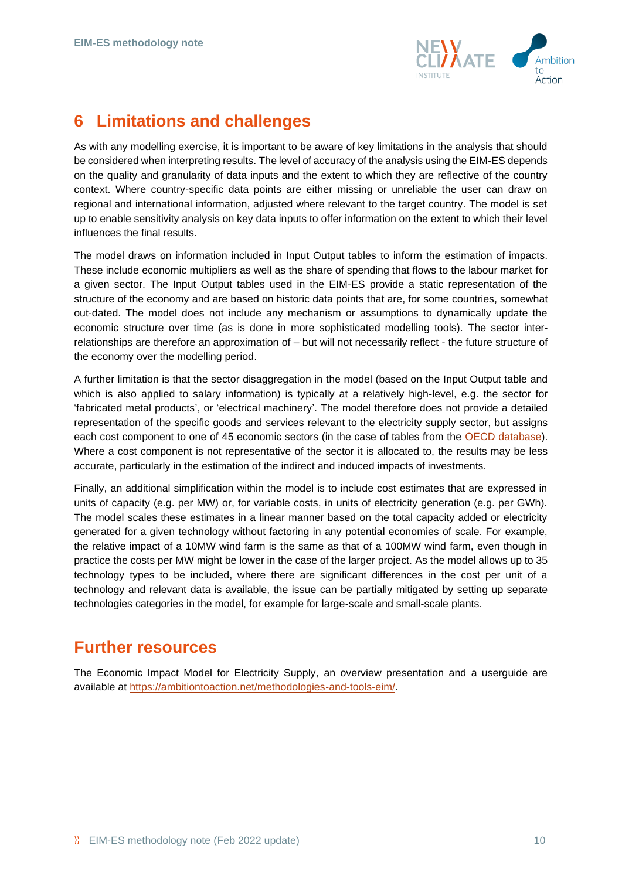

## <span id="page-9-0"></span>**6 Limitations and challenges**

As with any modelling exercise, it is important to be aware of key limitations in the analysis that should be considered when interpreting results. The level of accuracy of the analysis using the EIM-ES depends on the quality and granularity of data inputs and the extent to which they are reflective of the country context. Where country-specific data points are either missing or unreliable the user can draw on regional and international information, adjusted where relevant to the target country. The model is set up to enable sensitivity analysis on key data inputs to offer information on the extent to which their level influences the final results.

The model draws on information included in Input Output tables to inform the estimation of impacts. These include economic multipliers as well as the share of spending that flows to the labour market for a given sector. The Input Output tables used in the EIM-ES provide a static representation of the structure of the economy and are based on historic data points that are, for some countries, somewhat out-dated. The model does not include any mechanism or assumptions to dynamically update the economic structure over time (as is done in more sophisticated modelling tools). The sector interrelationships are therefore an approximation of – but will not necessarily reflect - the future structure of the economy over the modelling period.

A further limitation is that the sector disaggregation in the model (based on the Input Output table and which is also applied to salary information) is typically at a relatively high-level, e.g. the sector for 'fabricated metal products', or 'electrical machinery'. The model therefore does not provide a detailed representation of the specific goods and services relevant to the electricity supply sector, but assigns each cost component to one of 45 economic sectors (in the case of tables from the [OECD database\)](https://stats.oecd.org/Index.aspx?DataSetCode=IOTS_2021). Where a cost component is not representative of the sector it is allocated to, the results may be less accurate, particularly in the estimation of the indirect and induced impacts of investments.

Finally, an additional simplification within the model is to include cost estimates that are expressed in units of capacity (e.g. per MW) or, for variable costs, in units of electricity generation (e.g. per GWh). The model scales these estimates in a linear manner based on the total capacity added or electricity generated for a given technology without factoring in any potential economies of scale. For example, the relative impact of a 10MW wind farm is the same as that of a 100MW wind farm, even though in practice the costs per MW might be lower in the case of the larger project. As the model allows up to 35 technology types to be included, where there are significant differences in the cost per unit of a technology and relevant data is available, the issue can be partially mitigated by setting up separate technologies categories in the model, for example for large-scale and small-scale plants.

## **Further resources**

The Economic Impact Model for Electricity Supply, an overview presentation and a userguide are available at [https://ambitiontoaction.net/methodologies-and-tools-eim/.](https://ambitiontoaction.net/methodologies-and-tools-eim/)